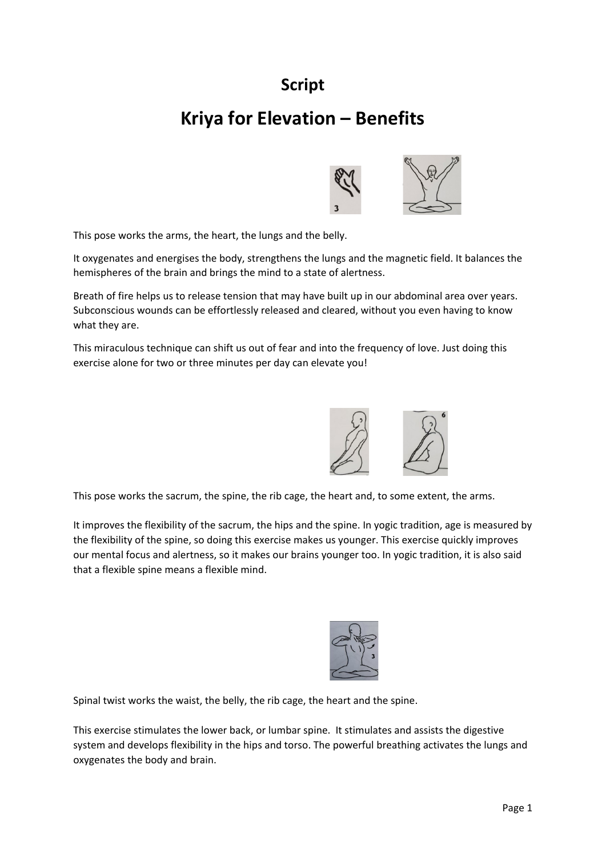## **Script**

## **Kriya for Elevation – Benefits**



This pose works the arms, the heart, the lungs and the belly.

It oxygenates and energises the body, strengthens the lungs and the magnetic field. It balances the hemispheres of the brain and brings the mind to a state of alertness.

Breath of fire helps us to release tension that may have built up in our abdominal area over years. Subconscious wounds can be effortlessly released and cleared, without you even having to know what they are.

This miraculous technique can shift us out of fear and into the frequency of love. Just doing this exercise alone for two or three minutes per day can elevate you!



This pose works the sacrum, the spine, the rib cage, the heart and, to some extent, the arms.

It improves the flexibility of the sacrum, the hips and the spine. In yogic tradition, age is measured by the flexibility of the spine, so doing this exercise makes us younger. This exercise quickly improves our mental focus and alertness, so it makes our brains younger too. In yogic tradition, it is also said that a flexible spine means a flexible mind.



Spinal twist works the waist, the belly, the rib cage, the heart and the spine.

This exercise stimulates the lower back, or lumbar spine. It stimulates and assists the digestive system and develops flexibility in the hips and torso. The powerful breathing activates the lungs and oxygenates the body and brain.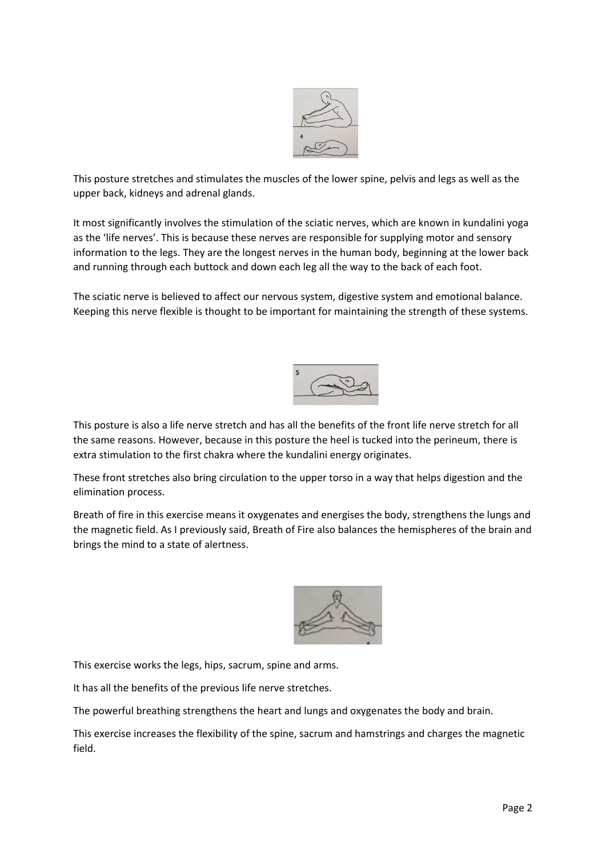

This posture stretches and stimulates the muscles of the lower spine, pelvis and legs as well as the upper back, kidneys and adrenal glands.

It most significantly involves the stimulation of the sciatic nerves, which are known in kundalini yoga as the 'life nerves'. This is because these nerves are responsible for supplying motor and sensory information to the legs. They are the longest nerves in the human body, beginning at the lower back and running through each buttock and down each leg all the way to the back of each foot.

The sciatic nerve is believed to affect our nervous system, digestive system and emotional balance. Keeping this nerve flexible is thought to be important for maintaining the strength of these systems.



This posture is also a life nerve stretch and has all the benefits of the front life nerve stretch for all the same reasons. However, because in this posture the heel is tucked into the perineum, there is extra stimulation to the first chakra where the kundalini energy originates.

These front stretches also bring circulation to the upper torso in a way that helps digestion and the elimination process.

Breath of fire in this exercise means it oxygenates and energises the body, strengthens the lungs and the magnetic field. As I previously said, Breath of Fire also balances the hemispheres of the brain and brings the mind to a state of alertness.



This exercise works the legs, hips, sacrum, spine and arms.

It has all the benefits of the previous life nerve stretches.

The powerful breathing strengthens the heart and lungs and oxygenates the body and brain.

This exercise increases the flexibility of the spine, sacrum and hamstrings and charges the magnetic field.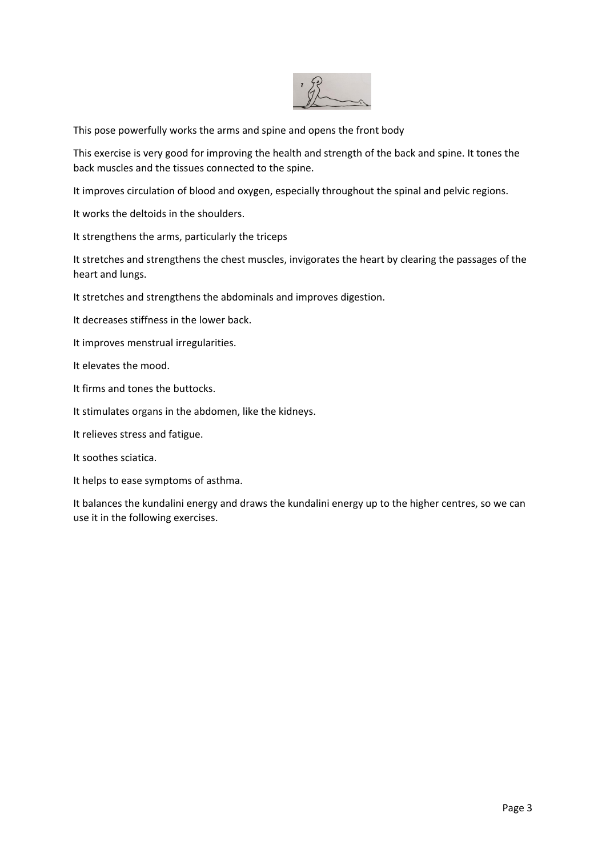

This pose powerfully works the arms and spine and opens the front body

This exercise is very good for improving the health and strength of the back and spine. It tones the back muscles and the tissues connected to the spine.

It improves circulation of blood and oxygen, especially throughout the spinal and pelvic regions.

It works the deltoids in the shoulders.

It strengthens the arms, particularly the triceps

It stretches and strengthens the chest muscles, invigorates the heart by clearing the passages of the heart and lungs.

It stretches and strengthens the abdominals and improves digestion.

It decreases stiffness in the lower back.

It improves menstrual irregularities.

It elevates the mood.

It firms and tones the buttocks.

It stimulates organs in the abdomen, like the kidneys.

It relieves stress and fatigue.

It soothes sciatica.

It helps to ease symptoms of asthma.

It balances the kundalini energy and draws the kundalini energy up to the higher centres, so we can use it in the following exercises.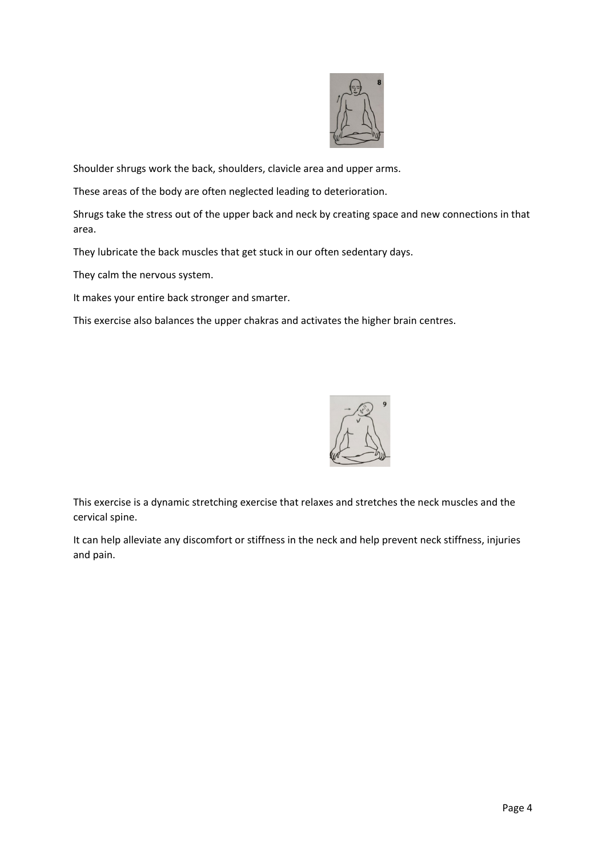

Shoulder shrugs work the back, shoulders, clavicle area and upper arms.

These areas of the body are often neglected leading to deterioration.

Shrugs take the stress out of the upper back and neck by creating space and new connections in that area.

They lubricate the back muscles that get stuck in our often sedentary days.

They calm the nervous system.

It makes your entire back stronger and smarter.

This exercise also balances the upper chakras and activates the higher brain centres.



This exercise is a dynamic stretching exercise that relaxes and stretches the neck muscles and the cervical spine.

It can help alleviate any discomfort or stiffness in the neck and help prevent neck stiffness, injuries and pain.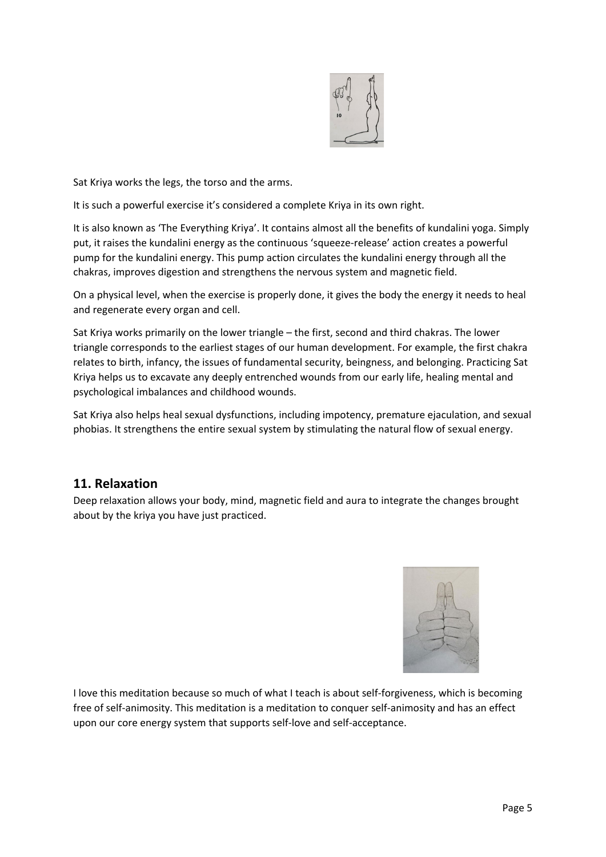

Sat Kriya works the legs, the torso and the arms.

It is such a powerful exercise it's considered a complete Kriya in its own right.

It is also known as 'The Everything Kriya'. It contains almost all the benefits of kundalini yoga. Simply put, it raises the kundalini energy as the continuous 'squeeze-release' action creates a powerful pump for the kundalini energy. This pump action circulates the kundalini energy through all the chakras, improves digestion and strengthens the nervous system and magnetic field.

On a physical level, when the exercise is properly done, it gives the body the energy it needs to heal and regenerate every organ and cell.

Sat Kriya works primarily on the lower triangle – the first, second and third chakras. The lower triangle corresponds to the earliest stages of our human development. For example, the first chakra relates to birth, infancy, the issues of fundamental security, beingness, and belonging. Practicing Sat Kriya helps us to excavate any deeply entrenched wounds from our early life, healing mental and psychological imbalances and childhood wounds.

Sat Kriya also helps heal sexual dysfunctions, including impotency, premature ejaculation, and sexual phobias. It strengthens the entire sexual system by stimulating the natural flow of sexual energy.

## **11. Relaxation**

Deep relaxation allows your body, mind, magnetic field and aura to integrate the changes brought about by the kriya you have just practiced.



I love this meditation because so much of what I teach is about self-forgiveness, which is becoming free of self-animosity. This meditation is a meditation to conquer self-animosity and has an effect upon our core energy system that supports self-love and self-acceptance.